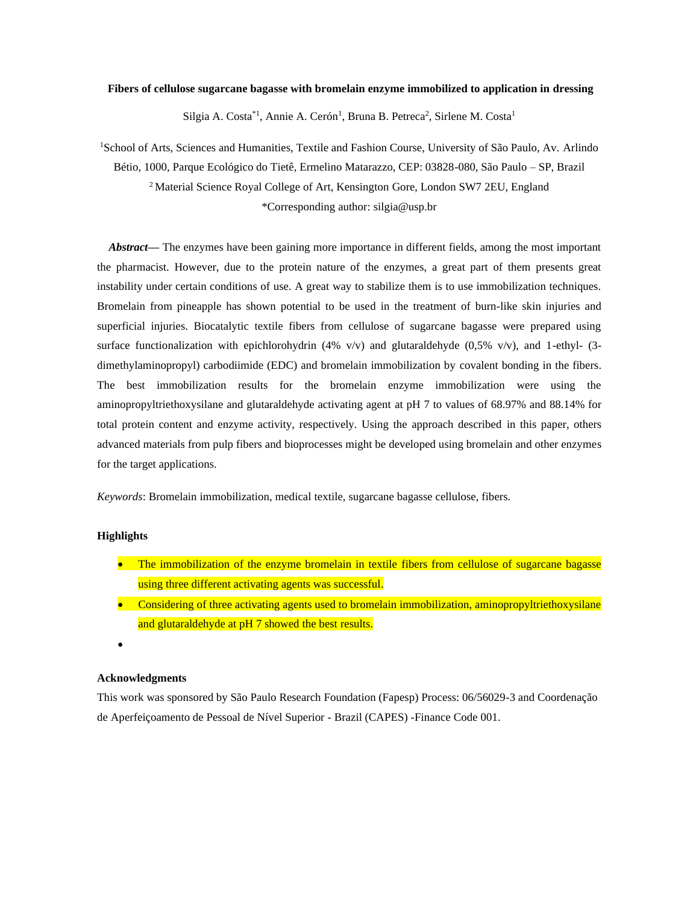### **Fibers of cellulose sugarcane bagasse with bromelain enzyme immobilized to application in dressing**

Silgia A. Costa<sup>\*1</sup>, Annie A. Cerón<sup>1</sup>, Bruna B. Petreca<sup>2</sup>, Sirlene M. Costa<sup>1</sup>

<sup>1</sup>School of Arts, Sciences and Humanities, Textile and Fashion Course, University of São Paulo, Av. Arlindo Bétio, 1000, Parque Ecológico do Tietê, Ermelino Matarazzo, CEP: 03828-080, São Paulo – SP, Brazil <sup>2</sup> Material Science Royal College of Art, Kensington Gore, London SW7 2EU, England \*Corresponding author: silgia@usp.br

*Abstract***—** The enzymes have been gaining more importance in different fields, among the most important the pharmacist. However, due to the protein nature of the enzymes, a great part of them presents great instability under certain conditions of use. A great way to stabilize them is to use immobilization techniques. Bromelain from pineapple has shown potential to be used in the treatment of burn-like skin injuries and superficial injuries. Biocatalytic textile fibers from cellulose of sugarcane bagasse were prepared using surface functionalization with epichlorohydrin (4% v/v) and glutaraldehyde (0,5% v/v), and 1-ethyl- (3dimethylaminopropyl) carbodiimide (EDC) and bromelain immobilization by covalent bonding in the fibers. The best immobilization results for the bromelain enzyme immobilization were using the aminopropyltriethoxysilane and glutaraldehyde activating agent at pH 7 to values of 68.97% and 88.14% for total protein content and enzyme activity, respectively. Using the approach described in this paper, others advanced materials from pulp fibers and bioprocesses might be developed using bromelain and other enzymes for the target applications.

*Keywords*: Bromelain immobilization, medical textile, sugarcane bagasse cellulose, fibers.

# **Highlights**

- The immobilization of the enzyme bromelain in textile fibers from cellulose of sugarcane bagasse using three different activating agents was successful.
- Considering of three activating agents used to bromelain immobilization, aminopropyltriethoxysilane and glutaraldehyde at pH 7 showed the best results.
- •

# **Acknowledgments**

This work was sponsored by São Paulo Research Foundation (Fapesp) Process: 06/56029-3 and Coordenação de Aperfeiçoamento de Pessoal de Nível Superior - Brazil (CAPES) -Finance Code 001.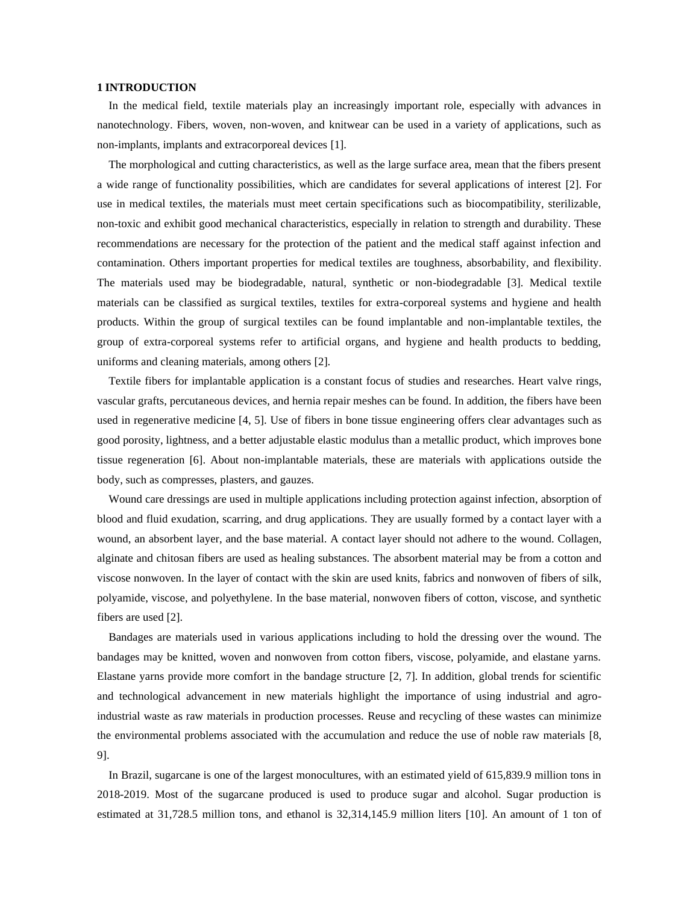# **1 INTRODUCTION**

In the medical field, textile materials play an increasingly important role, especially with advances in nanotechnology. Fibers, woven, non-woven, and knitwear can be used in a variety of applications, such as non-implants, implants and extracorporeal devices [1].

The morphological and cutting characteristics, as well as the large surface area, mean that the fibers present a wide range of functionality possibilities, which are candidates for several applications of interest [2]. For use in medical textiles, the materials must meet certain specifications such as biocompatibility, sterilizable, non-toxic and exhibit good mechanical characteristics, especially in relation to strength and durability. These recommendations are necessary for the protection of the patient and the medical staff against infection and contamination. Others important properties for medical textiles are toughness, absorbability, and flexibility. The materials used may be biodegradable, natural, synthetic or non-biodegradable [3]. Medical textile materials can be classified as surgical textiles, textiles for extra-corporeal systems and hygiene and health products. Within the group of surgical textiles can be found implantable and non-implantable textiles, the group of extra-corporeal systems refer to artificial organs, and hygiene and health products to bedding, uniforms and cleaning materials, among others [2].

Textile fibers for implantable application is a constant focus of studies and researches. Heart valve rings, vascular grafts, percutaneous devices, and hernia repair meshes can be found. In addition, the fibers have been used in regenerative medicine [4, 5]. Use of fibers in bone tissue engineering offers clear advantages such as good porosity, lightness, and a better adjustable elastic modulus than a metallic product, which improves bone tissue regeneration [6]. About non-implantable materials, these are materials with applications outside the body, such as compresses, plasters, and gauzes.

Wound care dressings are used in multiple applications including protection against infection, absorption of blood and fluid exudation, scarring, and drug applications. They are usually formed by a contact layer with a wound, an absorbent layer, and the base material. A contact layer should not adhere to the wound. Collagen, alginate and chitosan fibers are used as healing substances. The absorbent material may be from a cotton and viscose nonwoven. In the layer of contact with the skin are used knits, fabrics and nonwoven of fibers of silk, polyamide, viscose, and polyethylene. In the base material, nonwoven fibers of cotton, viscose, and synthetic fibers are used [2].

Bandages are materials used in various applications including to hold the dressing over the wound. The bandages may be knitted, woven and nonwoven from cotton fibers, viscose, polyamide, and elastane yarns. Elastane yarns provide more comfort in the bandage structure [2, 7]. In addition, global trends for scientific and technological advancement in new materials highlight the importance of using industrial and agroindustrial waste as raw materials in production processes. Reuse and recycling of these wastes can minimize the environmental problems associated with the accumulation and reduce the use of noble raw materials [8, 9].

In Brazil, sugarcane is one of the largest monocultures, with an estimated yield of 615,839.9 million tons in 2018-2019. Most of the sugarcane produced is used to produce sugar and alcohol. Sugar production is estimated at 31,728.5 million tons, and ethanol is 32,314,145.9 million liters [10]. An amount of 1 ton of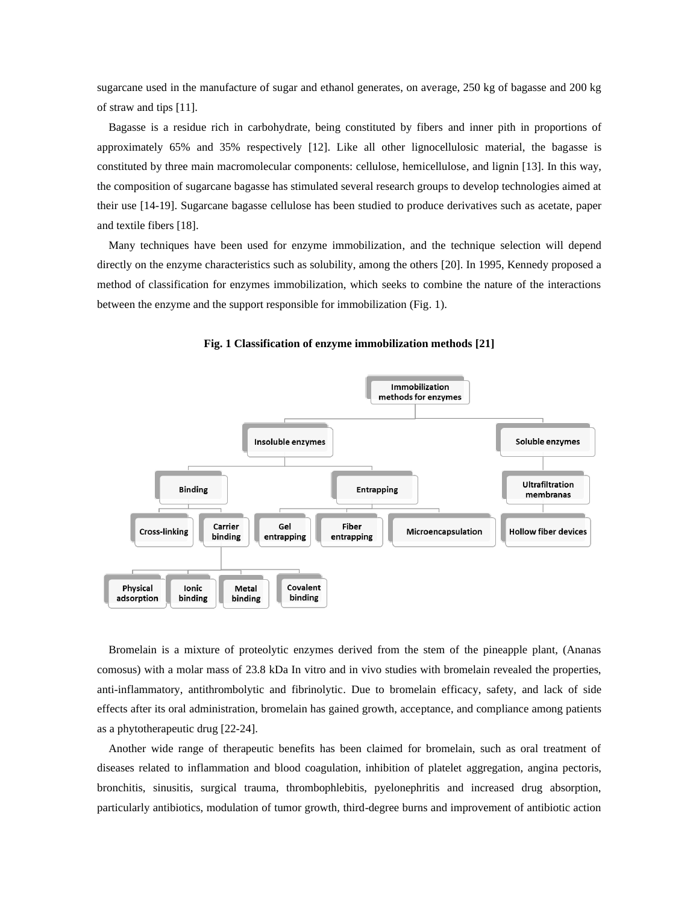sugarcane used in the manufacture of sugar and ethanol generates, on average, 250 kg of bagasse and 200 kg of straw and tips [11].

Bagasse is a residue rich in carbohydrate, being constituted by fibers and inner pith in proportions of approximately 65% and 35% respectively [12]. Like all other lignocellulosic material, the bagasse is constituted by three main macromolecular components: cellulose, hemicellulose, and lignin [13]. In this way, the composition of sugarcane bagasse has stimulated several research groups to develop technologies aimed at their use [14-19]. Sugarcane bagasse cellulose has been studied to produce derivatives such as acetate, paper and textile fibers [18].

Many techniques have been used for enzyme immobilization, and the technique selection will depend directly on the enzyme characteristics such as solubility, among the others [20]. In 1995, Kennedy proposed a method of classification for enzymes immobilization, which seeks to combine the nature of the interactions between the enzyme and the support responsible for immobilization (Fig. 1).



#### **Fig. 1 Classification of enzyme immobilization methods [21]**

Bromelain is a mixture of proteolytic enzymes derived from the stem of the pineapple plant, (Ananas comosus) with a molar mass of 23.8 kDa In vitro and in vivo studies with bromelain revealed the properties, anti-inflammatory, antithrombolytic and fibrinolytic. Due to bromelain efficacy, safety, and lack of side effects after its oral administration, bromelain has gained growth, acceptance, and compliance among patients as a phytotherapeutic drug [22-24].

Another wide range of therapeutic benefits has been claimed for bromelain, such as oral treatment of diseases related to inflammation and blood coagulation, inhibition of platelet aggregation, angina pectoris, bronchitis, sinusitis, surgical trauma, thrombophlebitis, pyelonephritis and increased drug absorption, particularly antibiotics, modulation of tumor growth, third-degree burns and improvement of antibiotic action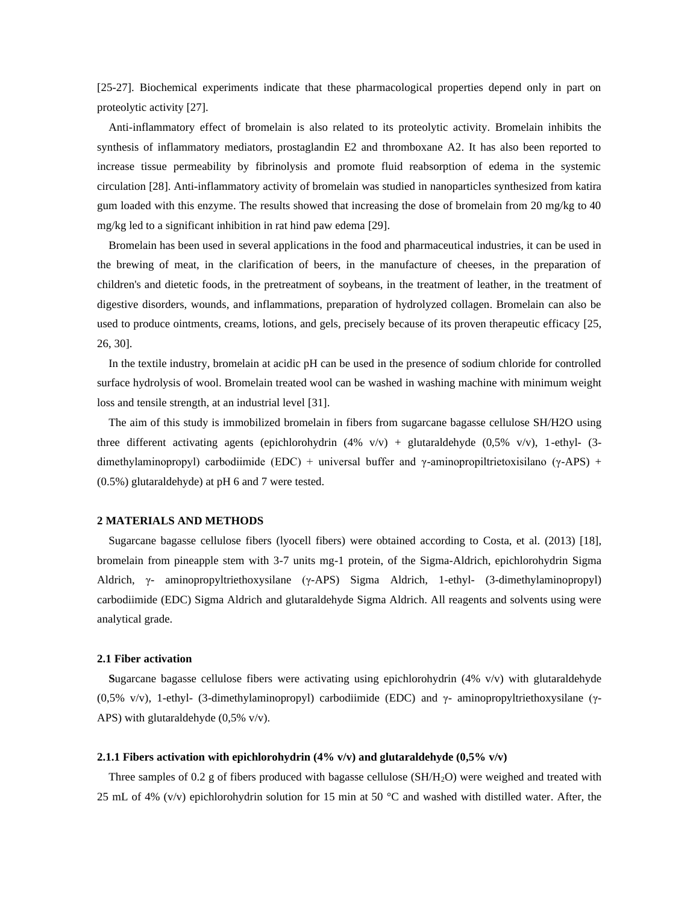[25-27]. Biochemical experiments indicate that these pharmacological properties depend only in part on proteolytic activity [27].

Anti-inflammatory effect of bromelain is also related to its proteolytic activity. Bromelain inhibits the synthesis of inflammatory mediators, prostaglandin E2 and thromboxane A2. It has also been reported to increase tissue permeability by fibrinolysis and promote fluid reabsorption of edema in the systemic circulation [28]. Anti-inflammatory activity of bromelain was studied in nanoparticles synthesized from katira gum loaded with this enzyme. The results showed that increasing the dose of bromelain from 20 mg/kg to 40 mg/kg led to a significant inhibition in rat hind paw edema [29].

Bromelain has been used in several applications in the food and pharmaceutical industries, it can be used in the brewing of meat, in the clarification of beers, in the manufacture of cheeses, in the preparation of children's and dietetic foods, in the pretreatment of soybeans, in the treatment of leather, in the treatment of digestive disorders, wounds, and inflammations, preparation of hydrolyzed collagen. Bromelain can also be used to produce ointments, creams, lotions, and gels, precisely because of its proven therapeutic efficacy [25, 26, 30].

In the textile industry, bromelain at acidic pH can be used in the presence of sodium chloride for controlled surface hydrolysis of wool. Bromelain treated wool can be washed in washing machine with minimum weight loss and tensile strength, at an industrial level [31].

The aim of this study is immobilized bromelain in fibers from sugarcane bagasse cellulose SH/H2O using three different activating agents (epichlorohydrin  $(4\%$  v/v) + glutaraldehyde  $(0.5\%$  v/v), 1-ethyl- (3dimethylaminopropyl) carbodiimide (EDC) + universal buffer and γ-aminopropiltrietoxisilano (γ-APS) + (0.5%) glutaraldehyde) at pH 6 and 7 were tested.

## **2 MATERIALS AND METHODS**

Sugarcane bagasse cellulose fibers (lyocell fibers) were obtained according to Costa, et al. (2013) [18], bromelain from pineapple stem with 3-7 units mg-1 protein, of the Sigma-Aldrich, epichlorohydrin Sigma Aldrich, γ- aminopropyltriethoxysilane (γ-APS) Sigma Aldrich, 1-ethyl- (3-dimethylaminopropyl) carbodiimide (EDC) Sigma Aldrich and glutaraldehyde Sigma Aldrich. All reagents and solvents using were analytical grade.

## **2.1 Fiber activation**

**S**ugarcane bagasse cellulose fibers were activating using epichlorohydrin (4% v/v) with glutaraldehyde (0,5% v/v), 1-ethyl- (3-dimethylaminopropyl) carbodiimide (EDC) and γ- aminopropyltriethoxysilane (γ-APS) with glutaraldehyde  $(0.5\% \text{ v/v})$ .

## **2.1.1 Fibers activation with epichlorohydrin (4% v/v) and glutaraldehyde (0,5% v/v)**

Three samples of 0.2 g of fibers produced with bagasse cellulose  $(SH/H<sub>2</sub>O)$  were weighed and treated with 25 mL of 4% (v/v) epichlorohydrin solution for 15 min at 50  $^{\circ}$ C and washed with distilled water. After, the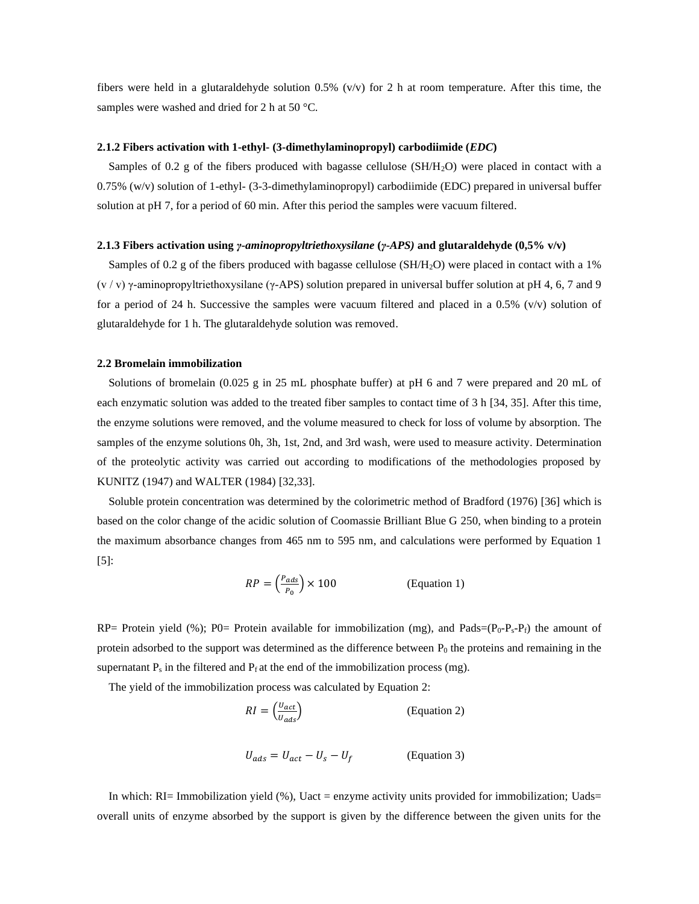fibers were held in a glutaraldehyde solution 0.5% (v/v) for 2 h at room temperature. After this time, the samples were washed and dried for 2 h at 50 °C.

## **2.1.2 Fibers activation with 1-ethyl- (3-dimethylaminopropyl) carbodiimide (***EDC***)**

Samples of 0.2 g of the fibers produced with bagasse cellulose (SH/H2O) were placed in contact with a 0.75% (w/v) solution of 1-ethyl- (3-3-dimethylaminopropyl) carbodiimide (EDC) prepared in universal buffer solution at pH 7, for a period of 60 min. After this period the samples were vacuum filtered.

#### **2.1.3 Fibers activation using** *γ-aminopropyltriethoxysilane* **(***γ***-***APS)* **and glutaraldehyde (0,5% v/v)**

Samples of 0.2 g of the fibers produced with bagasse cellulose (SH/H2O) were placed in contact with a 1%  $(v / v)$   $\gamma$ -aminopropyltriethoxysilane ( $\gamma$ -APS) solution prepared in universal buffer solution at pH 4, 6, 7 and 9 for a period of 24 h. Successive the samples were vacuum filtered and placed in a 0.5% (v/v) solution of glutaraldehyde for 1 h. The glutaraldehyde solution was removed.

## **2.2 Bromelain immobilization**

Solutions of bromelain (0.025 g in 25 mL phosphate buffer) at pH 6 and 7 were prepared and 20 mL of each enzymatic solution was added to the treated fiber samples to contact time of 3 h [34, 35]. After this time, the enzyme solutions were removed, and the volume measured to check for loss of volume by absorption. The samples of the enzyme solutions 0h, 3h, 1st, 2nd, and 3rd wash, were used to measure activity. Determination of the proteolytic activity was carried out according to modifications of the methodologies proposed by KUNITZ (1947) and WALTER (1984) [32,33].

Soluble protein concentration was determined by the colorimetric method of Bradford (1976) [36] which is based on the color change of the acidic solution of Coomassie Brilliant Blue G 250, when binding to a protein the maximum absorbance changes from 465 nm to 595 nm, and calculations were performed by Equation 1 [5]:

$$
RP = \left(\frac{P_{ads}}{P_0}\right) \times 100
$$
 (Equation 1)

RP= Protein yield (%); P0= Protein available for immobilization (mg), and Pads= $(P_0-P_s-P_f)$  the amount of protein adsorbed to the support was determined as the difference between  $P_0$  the proteins and remaining in the supernatant  $P_s$  in the filtered and  $P_f$  at the end of the immobilization process (mg).

The yield of the immobilization process was calculated by Equation 2:

$$
RI = \left(\frac{v_{act}}{v_{ads}}\right)
$$
 (Equation 2)  

$$
U_{ads} = U_{act} - U_s - U_f
$$
 (Equation 3)

In which: RI= Immobilization yield (%), Uact = enzyme activity units provided for immobilization; Uads= overall units of enzyme absorbed by the support is given by the difference between the given units for the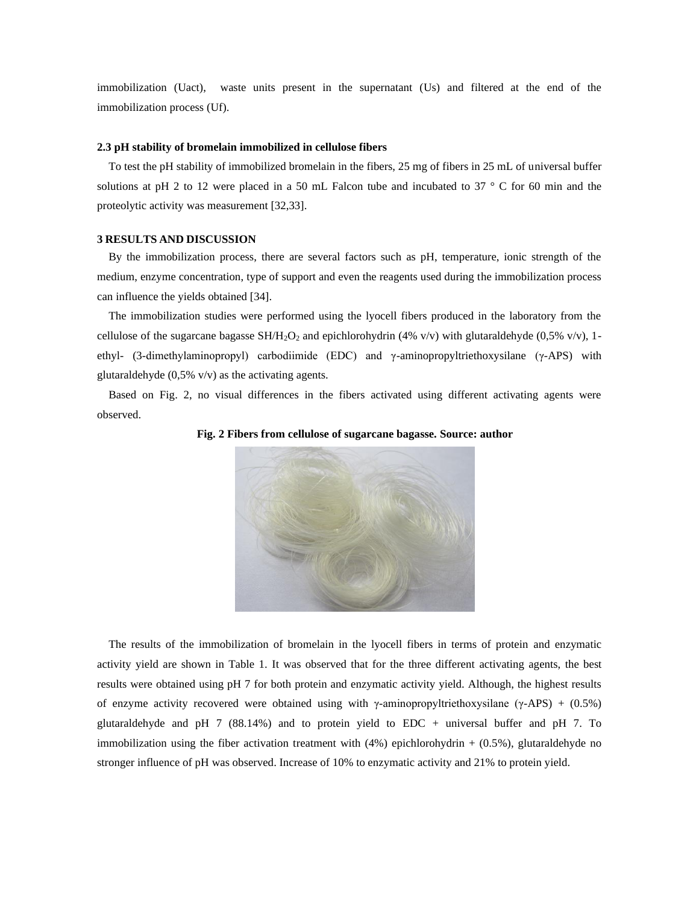immobilization (Uact), waste units present in the supernatant (Us) and filtered at the end of the immobilization process (Uf).

## **2.3 pH stability of bromelain immobilized in cellulose fibers**

To test the pH stability of immobilized bromelain in the fibers, 25 mg of fibers in 25 mL of universal buffer solutions at pH 2 to 12 were placed in a 50 mL Falcon tube and incubated to 37 ° C for 60 min and the proteolytic activity was measurement [32,33].

# **3 RESULTS AND DISCUSSION**

By the immobilization process, there are several factors such as pH, temperature, ionic strength of the medium, enzyme concentration, type of support and even the reagents used during the immobilization process can influence the yields obtained [34].

The immobilization studies were performed using the lyocell fibers produced in the laboratory from the cellulose of the sugarcane bagasse  $SH/H_2O_2$  and epichlorohydrin (4% v/v) with glutaraldehyde (0,5% v/v), 1ethyl- (3-dimethylaminopropyl) carbodiimide (EDC) and γ-aminopropyltriethoxysilane (γ-APS) with glutaraldehyde  $(0,5\% \text{ v/v})$  as the activating agents.

Based on Fig. 2, no visual differences in the fibers activated using different activating agents were observed.



**Fig. 2 Fibers from cellulose of sugarcane bagasse. Source: author**

The results of the immobilization of bromelain in the lyocell fibers in terms of protein and enzymatic activity yield are shown in Table 1. It was observed that for the three different activating agents, the best results were obtained using pH 7 for both protein and enzymatic activity yield. Although, the highest results of enzyme activity recovered were obtained using with  $\gamma$ -aminopropyltriethoxysilane ( $\gamma$ -APS) + (0.5%) glutaraldehyde and pH 7 (88.14%) and to protein yield to EDC + universal buffer and pH 7. To immobilization using the fiber activation treatment with  $(4%)$  epichlorohydrin +  $(0.5%)$ , glutaraldehyde no stronger influence of pH was observed. Increase of 10% to enzymatic activity and 21% to protein yield.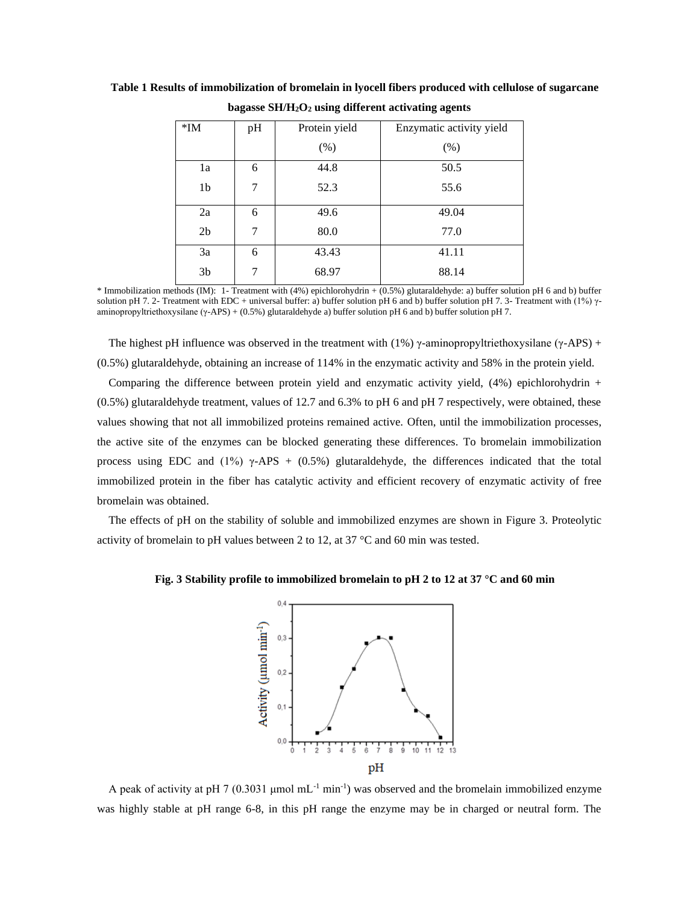| $*IM$          | pH | Protein yield | Enzymatic activity yield |
|----------------|----|---------------|--------------------------|
|                |    | (% )          | (% )                     |
| 1a             | 6  | 44.8          | 50.5                     |
| 1 <sub>b</sub> | 7  | 52.3          | 55.6                     |
| 2a             | 6  | 49.6          | 49.04                    |
| 2 <sub>b</sub> | 7  | 80.0          | 77.0                     |
| 3a             | 6  | 43.43         | 41.11                    |
| 3 <sub>b</sub> | 7  | 68.97         | 88.14                    |

**Table 1 Results of immobilization of bromelain in lyocell fibers produced with cellulose of sugarcane bagasse SH/H2O<sup>2</sup> using different activating agents**

\* Immobilization methods (IM): 1- Treatment with (4%) epichlorohydrin + (0.5%) glutaraldehyde: a) buffer solution pH 6 and b) buffer solution pH 7. 2- Treatment with EDC + universal buffer: a) buffer solution pH 6 and b) buffer solution pH 7. 3- Treatment with (1%) γaminopropyltriethoxysilane (γ-APS) + (0.5%) glutaraldehyde a) buffer solution pH 6 and b) buffer solution pH 7.

The highest pH influence was observed in the treatment with (1%) γ-aminopropyltriethoxysilane (γ-APS) + (0.5%) glutaraldehyde, obtaining an increase of 114% in the enzymatic activity and 58% in the protein yield.

Comparing the difference between protein yield and enzymatic activity yield,  $(4%)$  epichlorohydrin + (0.5%) glutaraldehyde treatment, values of 12.7 and 6.3% to pH 6 and pH 7 respectively, were obtained, these values showing that not all immobilized proteins remained active. Often, until the immobilization processes, the active site of the enzymes can be blocked generating these differences. To bromelain immobilization process using EDC and (1%) γ-APS + (0.5%) glutaraldehyde, the differences indicated that the total immobilized protein in the fiber has catalytic activity and efficient recovery of enzymatic activity of free bromelain was obtained.

The effects of pH on the stability of soluble and immobilized enzymes are shown in Figure 3. Proteolytic activity of bromelain to pH values between 2 to 12, at 37 °C and 60 min was tested.

**Fig. 3 Stability profile to immobilized bromelain to pH 2 to 12 at 37 °C and 60 min**



A peak of activity at pH 7 (0.3031  $\mu$ mol mL<sup>-1</sup> min<sup>-1</sup>) was observed and the bromelain immobilized enzyme was highly stable at pH range 6-8, in this pH range the enzyme may be in charged or neutral form. The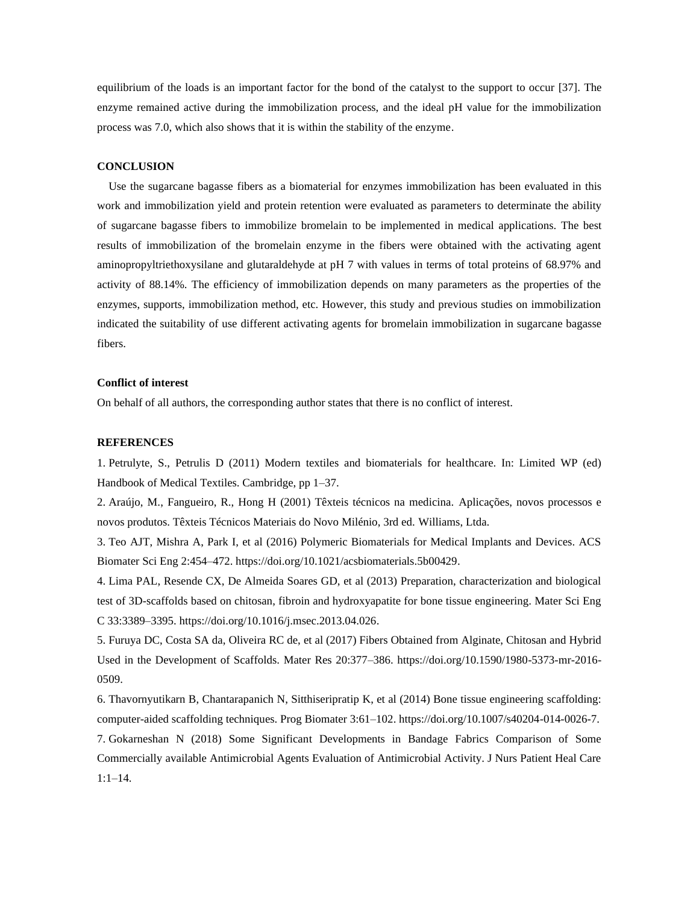equilibrium of the loads is an important factor for the bond of the catalyst to the support to occur [37]. The enzyme remained active during the immobilization process, and the ideal pH value for the immobilization process was 7.0, which also shows that it is within the stability of the enzyme.

# **CONCLUSION**

Use the sugarcane bagasse fibers as a biomaterial for enzymes immobilization has been evaluated in this work and immobilization yield and protein retention were evaluated as parameters to determinate the ability of sugarcane bagasse fibers to immobilize bromelain to be implemented in medical applications. The best results of immobilization of the bromelain enzyme in the fibers were obtained with the activating agent aminopropyltriethoxysilane and glutaraldehyde at pH 7 with values in terms of total proteins of 68.97% and activity of 88.14%. The efficiency of immobilization depends on many parameters as the properties of the enzymes, supports, immobilization method, etc. However, this study and previous studies on immobilization indicated the suitability of use different activating agents for bromelain immobilization in sugarcane bagasse fibers.

# **Conflict of interest**

On behalf of all authors, the corresponding author states that there is no conflict of interest.

#### **REFERENCES**

1. Petrulyte, S., Petrulis D (2011) Modern textiles and biomaterials for healthcare. In: Limited WP (ed) Handbook of Medical Textiles. Cambridge, pp 1–37.

2. Araújo, M., Fangueiro, R., Hong H (2001) Têxteis técnicos na medicina. Aplicações, novos processos e novos produtos. Têxteis Técnicos Materiais do Novo Milénio, 3rd ed. Williams, Ltda.

3. Teo AJT, Mishra A, Park I, et al (2016) Polymeric Biomaterials for Medical Implants and Devices. ACS Biomater Sci Eng 2:454–472[. https://doi.org/10.1021/acsbiomaterials.5b00429.](https://doi.org/10.1021/acsbiomaterials.5b00429)

4. Lima PAL, Resende CX, De Almeida Soares GD, et al (2013) Preparation, characterization and biological test of 3D-scaffolds based on chitosan, fibroin and hydroxyapatite for bone tissue engineering. Mater Sci Eng C 33:3389–3395. [https://doi.org/10.1016/j.msec.2013.04.026.](https://doi.org/10.1016/j.msec.2013.04.026)

5. Furuya DC, Costa SA da, Oliveira RC de, et al (2017) Fibers Obtained from Alginate, Chitosan and Hybrid Used in the Development of Scaffolds. Mater Res 20:377–386. [https://doi.org/10.1590/1980-5373-mr-2016-](https://doi.org/10.1590/1980-5373-mr-2016-0509) [0509.](https://doi.org/10.1590/1980-5373-mr-2016-0509)

6. Thavornyutikarn B, Chantarapanich N, Sitthiseripratip K, et al (2014) Bone tissue engineering scaffolding: computer-aided scaffolding techniques. Prog Biomater 3:61–102[. https://doi.org/10.1007/s40204-014-0026-7.](https://doi.org/10.1007/s40204-014-0026-7)

7. Gokarneshan N (2018) Some Significant Developments in Bandage Fabrics Comparison of Some Commercially available Antimicrobial Agents Evaluation of Antimicrobial Activity. J Nurs Patient Heal Care 1:1–14.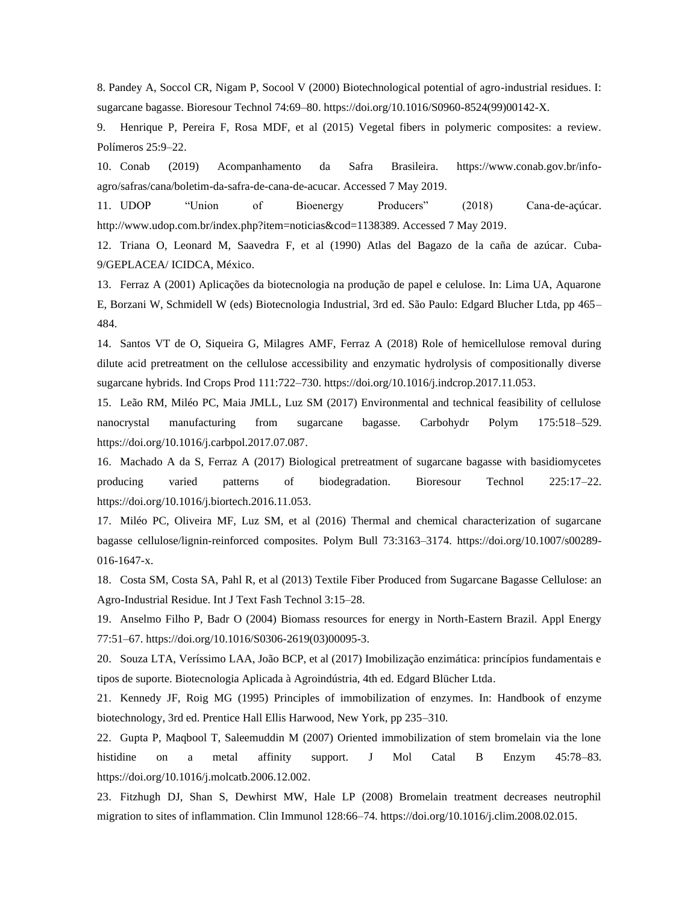8. Pandey A, Soccol CR, Nigam P, Socool V (2000) Biotechnological potential of agro-industrial residues. I: sugarcane bagasse. Bioresour Technol 74:69–80[. https://doi.org/10.1016/S0960-8524\(99\)00142-X.](https://doi.org/10.1016/S0960-8524(99)00142-X)

9. Henrique P, Pereira F, Rosa MDF, et al (2015) Vegetal fibers in polymeric composites: a review. Polímeros 25:9–22.

10. Conab (2019) Acompanhamento da Safra Brasileira. https://www.conab.gov.br/infoagro/safras/cana/boletim-da-safra-de-cana-de-acucar. Accessed 7 May 2019.

11. UDOP "Union of Bioenergy Producers" (2018) Cana-de-açúcar. http://www.udop.com.br/index.php?item=noticias&cod=1138389. Accessed 7 May 2019.

12. Triana O, Leonard M, Saavedra F, et al (1990) Atlas del Bagazo de la caña de azúcar. Cuba-9/GEPLACEA/ ICIDCA, México.

13. Ferraz A (2001) Aplicações da biotecnologia na produção de papel e celulose. In: Lima UA, Aquarone E, Borzani W, Schmidell W (eds) Biotecnologia Industrial, 3rd ed. São Paulo: Edgard Blucher Ltda, pp 465– 484.

14. Santos VT de O, Siqueira G, Milagres AMF, Ferraz A (2018) Role of hemicellulose removal during dilute acid pretreatment on the cellulose accessibility and enzymatic hydrolysis of compositionally diverse sugarcane hybrids. Ind Crops Prod 111:722–730. [https://doi.org/10.1016/j.indcrop.2017.11.053.](https://doi.org/10.1016/j.indcrop.2017.11.053)

15. Leão RM, Miléo PC, Maia JMLL, Luz SM (2017) Environmental and technical feasibility of cellulose nanocrystal manufacturing from sugarcane bagasse. Carbohydr Polym 175:518–529. [https://doi.org/10.1016/j.carbpol.2017.07.087.](https://doi.org/10.1016/j.carbpol.2017.07.087)

16. Machado A da S, Ferraz A (2017) Biological pretreatment of sugarcane bagasse with basidiomycetes producing varied patterns of biodegradation. Bioresour Technol 225:17–22. [https://doi.org/10.1016/j.biortech.2016.11.053.](https://doi.org/10.1016/j.biortech.2016.11.053)

17. Miléo PC, Oliveira MF, Luz SM, et al (2016) Thermal and chemical characterization of sugarcane bagasse cellulose/lignin-reinforced composites. Polym Bull 73:3163–3174. [https://doi.org/10.1007/s00289-](https://doi.org/10.1007/s00289-016-1647-x) [016-1647-x.](https://doi.org/10.1007/s00289-016-1647-x)

18. Costa SM, Costa SA, Pahl R, et al (2013) Textile Fiber Produced from Sugarcane Bagasse Cellulose: an Agro-Industrial Residue. Int J Text Fash Technol 3:15–28.

19. Anselmo Filho P, Badr O (2004) Biomass resources for energy in North-Eastern Brazil. Appl Energy 77:51–67. [https://doi.org/10.1016/S0306-2619\(03\)00095-3.](https://doi.org/10.1016/S0306-2619(03)00095-3)

20. Souza LTA, Veríssimo LAA, João BCP, et al (2017) Imobilização enzimática: princípios fundamentais e tipos de suporte. Biotecnologia Aplicada à Agroindústria, 4th ed. Edgard Blücher Ltda.

21. Kennedy JF, Roig MG (1995) Principles of immobilization of enzymes. In: Handbook of enzyme biotechnology, 3rd ed. Prentice Hall Ellis Harwood, New York, pp 235–310.

22. Gupta P, Maqbool T, Saleemuddin M (2007) Oriented immobilization of stem bromelain via the lone histidine on a metal affinity support. J Mol Catal B Enzym 45:78–83. [https://doi.org/10.1016/j.molcatb.2006.12.002.](https://doi.org/10.1016/j.molcatb.2006.12.002)

23. Fitzhugh DJ, Shan S, Dewhirst MW, Hale LP (2008) Bromelain treatment decreases neutrophil migration to sites of inflammation. Clin Immunol 128:66–74. [https://doi.org/10.1016/j.clim.2008.02.015.](https://doi.org/10.1016/j.clim.2008.02.015)